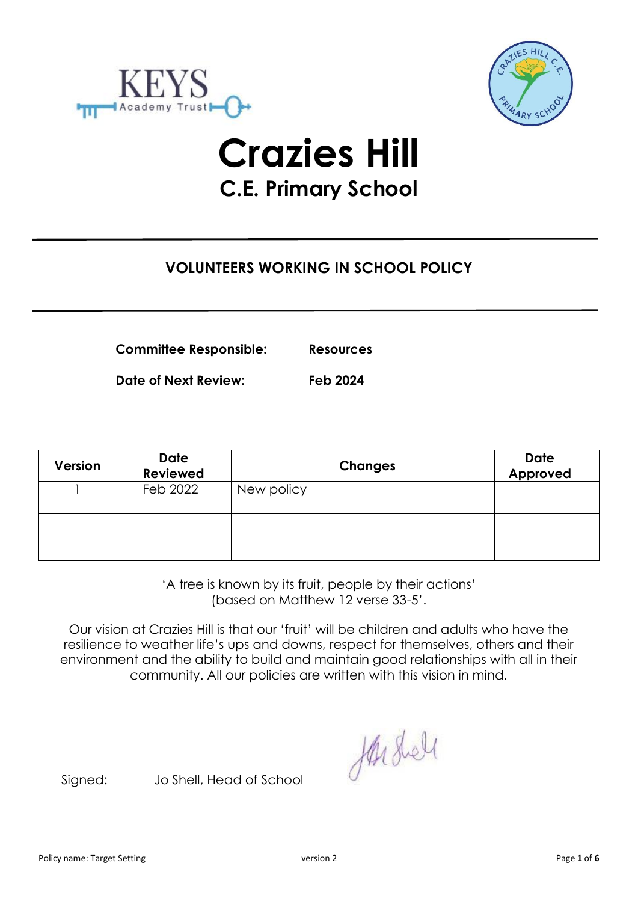



# **Crazies Hill C.E. Primary School**

# **VOLUNTEERS WORKING IN SCHOOL POLICY**

**Committee Responsible: Resources**

**Date of Next Review: Feb 2024**

**Version Date Reviewed Changes Date Approved** 1 Feb 2022 New policy

> 'A tree is known by its fruit, people by their actions' (based on Matthew 12 verse 33-5'.

Our vision at Crazies Hill is that our 'fruit' will be children and adults who have the resilience to weather life's ups and downs, respect for themselves, others and their environment and the ability to build and maintain good relationships with all in their community. All our policies are written with this vision in mind.

Harshell

Signed: Jo Shell, Head of School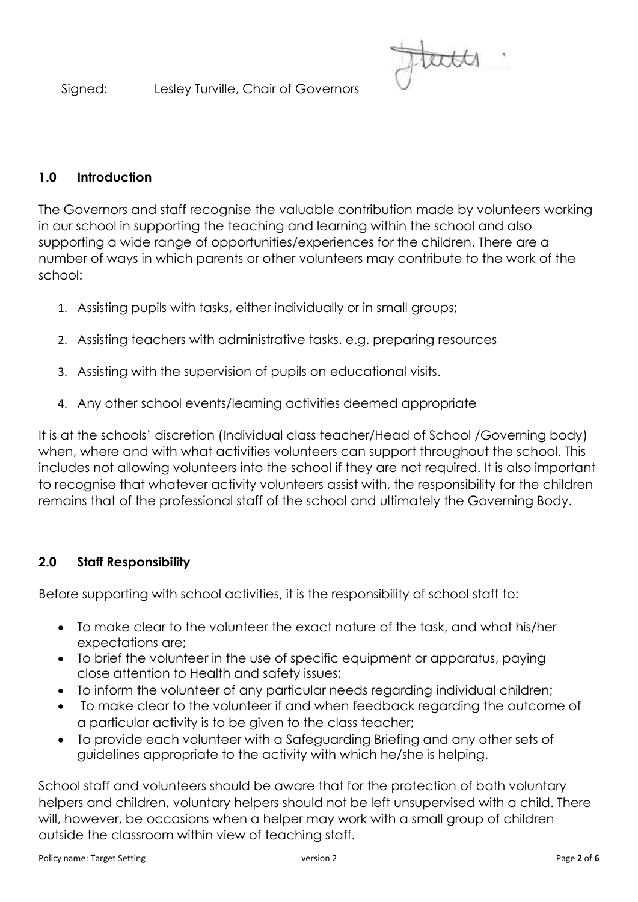Signed: Lesley Turville, Chair of Governors

#### **1.0 Introduction**

The Governors and staff recognise the valuable contribution made by volunteers working in our school in supporting the teaching and learning within the school and also supporting a wide range of opportunities/experiences for the children. There are a number of ways in which parents or other volunteers may contribute to the work of the school:

- 1. Assisting pupils with tasks, either individually or in small groups;
- 2. Assisting teachers with administrative tasks. e.g. preparing resources
- 3. Assisting with the supervision of pupils on educational visits.
- 4. Any other school events/learning activities deemed appropriate

It is at the schools' discretion (Individual class teacher/Head of School /Governing body) when, where and with what activities volunteers can support throughout the school. This includes not allowing volunteers into the school if they are not required. It is also important to recognise that whatever activity volunteers assist with, the responsibility for the children remains that of the professional staff of the school and ultimately the Governing Body.

### **2.0 Staff Responsibility**

Before supporting with school activities, it is the responsibility of school staff to:

- To make clear to the volunteer the exact nature of the task, and what his/her expectations are;
- To brief the volunteer in the use of specific equipment or apparatus, paying close attention to Health and safety issues;
- To inform the volunteer of any particular needs regarding individual children;
- To make clear to the volunteer if and when feedback regarding the outcome of a particular activity is to be given to the class teacher;
- To provide each volunteer with a Safeguarding Briefing and any other sets of guidelines appropriate to the activity with which he/she is helping.

School staff and volunteers should be aware that for the protection of both voluntary helpers and children, voluntary helpers should not be left unsupervised with a child. There will, however, be occasions when a helper may work with a small group of children outside the classroom within view of teaching staff.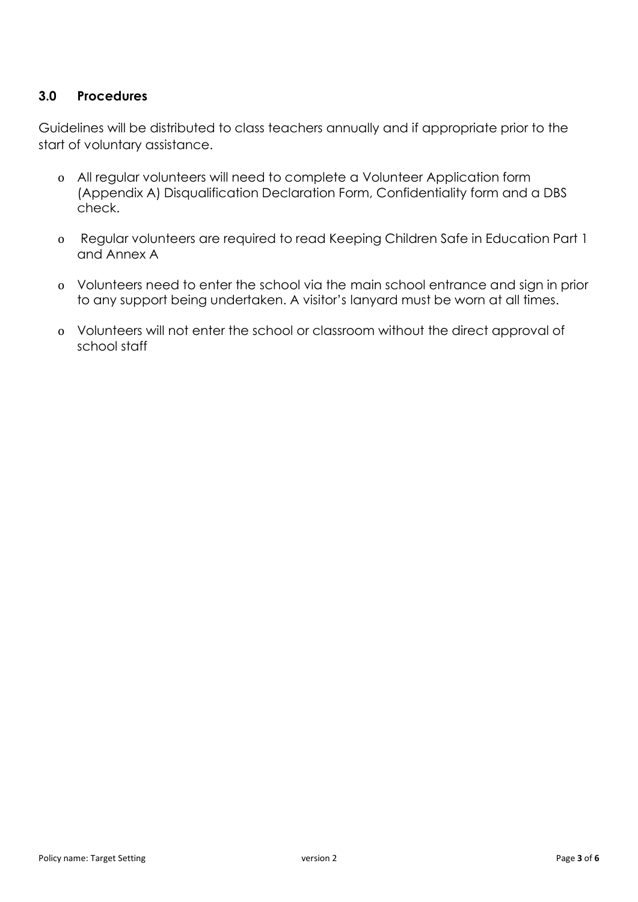# **3.0 Procedures**

Guidelines will be distributed to class teachers annually and if appropriate prior to the start of voluntary assistance.

- o All regular volunteers will need to complete a Volunteer Application form (Appendix A) Disqualification Declaration Form, Confidentiality form and a DBS check.
- o Regular volunteers are required to read Keeping Children Safe in Education Part 1 and Annex A
- o Volunteers need to enter the school via the main school entrance and sign in prior to any support being undertaken. A visitor's lanyard must be worn at all times.
- o Volunteers will not enter the school or classroom without the direct approval of school staff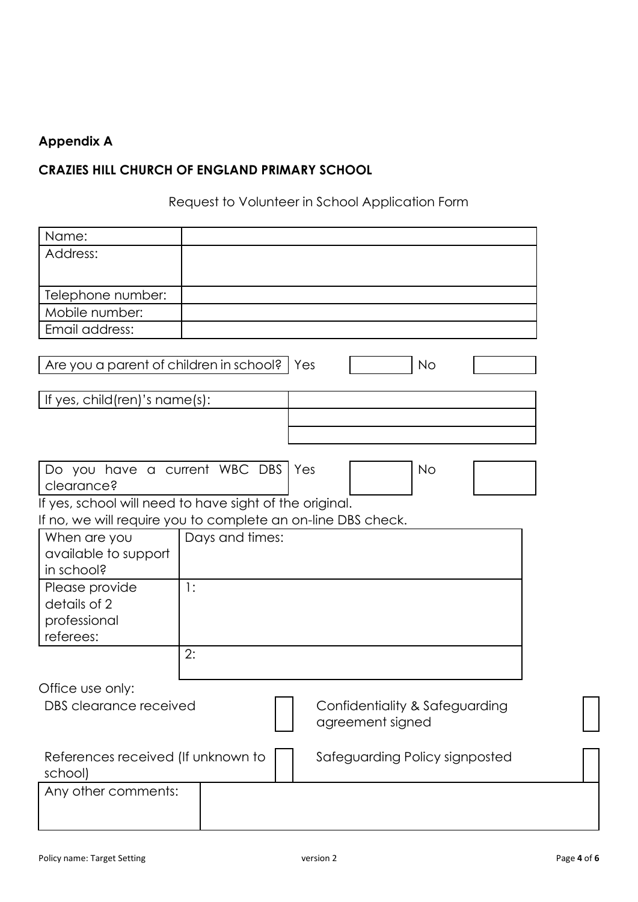# **Appendix A**

# **CRAZIES HILL CHURCH OF ENGLAND PRIMARY SCHOOL**

Request to Volunteer in School Application Form

| Name:                                                        |                 |                                |  |
|--------------------------------------------------------------|-----------------|--------------------------------|--|
| Address:                                                     |                 |                                |  |
|                                                              |                 |                                |  |
| Telephone number:                                            |                 |                                |  |
| Mobile number:                                               |                 |                                |  |
| Email address:                                               |                 |                                |  |
|                                                              |                 |                                |  |
| Are you a parent of children in school?   Yes                |                 | <b>No</b>                      |  |
| If yes, child(ren)'s name(s):                                |                 |                                |  |
|                                                              |                 |                                |  |
|                                                              |                 |                                |  |
|                                                              |                 |                                |  |
| Do you have a current WBC DBS                                |                 | <b>No</b><br>Yes               |  |
| clearance?                                                   |                 |                                |  |
| If yes, school will need to have sight of the original.      |                 |                                |  |
| If no, we will require you to complete an on-line DBS check. |                 |                                |  |
| When are you<br>available to support                         | Days and times: |                                |  |
| in school?                                                   |                 |                                |  |
| Please provide                                               | $\cdot$         |                                |  |
| details of 2                                                 |                 |                                |  |
| professional                                                 |                 |                                |  |
| referees:                                                    |                 |                                |  |
|                                                              | 2:              |                                |  |
| Office use only:                                             |                 |                                |  |
| DBS clearance received                                       |                 | Confidentiality & Safeguarding |  |
|                                                              |                 | agreement signed               |  |
| References received (If unknown to<br>school)                |                 | Safeguarding Policy signposted |  |
| Any other comments:                                          |                 |                                |  |
|                                                              |                 |                                |  |
|                                                              |                 |                                |  |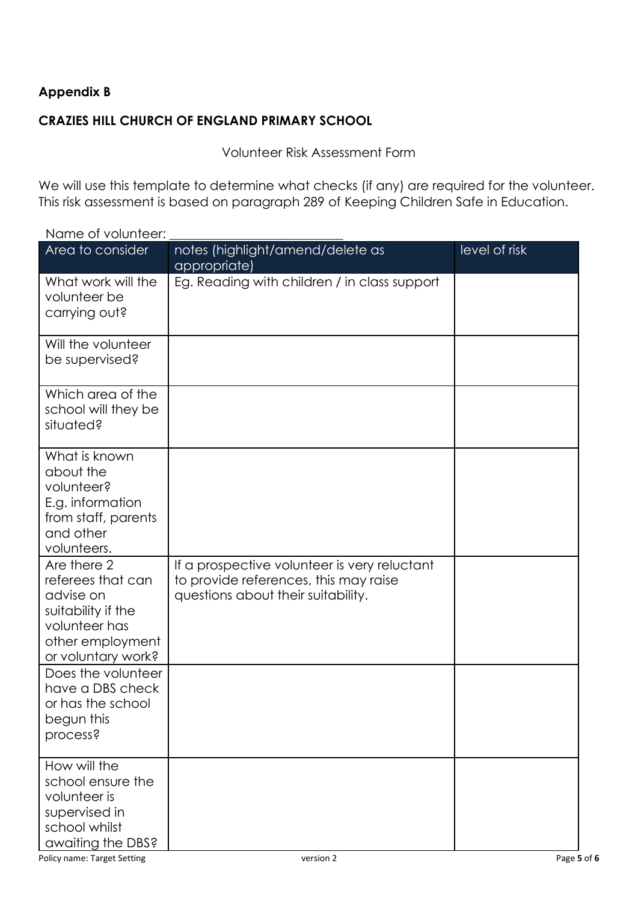# **Appendix B**

### **CRAZIES HILL CHURCH OF ENGLAND PRIMARY SCHOOL**

Volunteer Risk Assessment Form

We will use this template to determine what checks (if any) are required for the volunteer. This risk assessment is based on paragraph 289 of Keeping Children [Safe in Education.](https://www.gov.uk/government/publications/keeping-children-safe-in-education--2)

| ייטטויוטוט א וט טווווא                                                                                                         |                                                                                                                             |               |
|--------------------------------------------------------------------------------------------------------------------------------|-----------------------------------------------------------------------------------------------------------------------------|---------------|
| Area to consider                                                                                                               | notes (highlight/amend/delete as<br>appropriate)                                                                            | level of risk |
| What work will the<br>volunteer be<br>carrying out?                                                                            | Eg. Reading with children / in class support                                                                                |               |
| Will the volunteer<br>be supervised?                                                                                           |                                                                                                                             |               |
| Which area of the<br>school will they be<br>situated?                                                                          |                                                                                                                             |               |
| What is known<br>about the<br>volunteer?<br>E.g. information<br>from staff, parents<br>and other<br>volunteers.                |                                                                                                                             |               |
| Are there 2<br>referees that can<br>advise on<br>suitability if the<br>volunteer has<br>other employment<br>or voluntary work? | If a prospective volunteer is very reluctant<br>to provide references, this may raise<br>questions about their suitability. |               |
| Does the volunteer<br>have a DBS check<br>or has the school<br>begun this<br>process?                                          |                                                                                                                             |               |
| How will the<br>school ensure the<br>volunteer is<br>supervised in<br>school whilst<br>awaiting the DBS?                       |                                                                                                                             |               |

Name of volunteer: